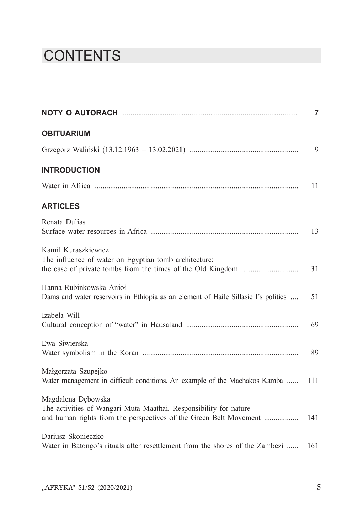## **CONTENTS**

|                                                                                                                                                              | $\overline{7}$ |
|--------------------------------------------------------------------------------------------------------------------------------------------------------------|----------------|
| <b>OBITUARIUM</b>                                                                                                                                            |                |
|                                                                                                                                                              | 9              |
| <b>INTRODUCTION</b>                                                                                                                                          |                |
|                                                                                                                                                              | 11             |
| <b>ARTICLES</b>                                                                                                                                              |                |
| Renata Dulias                                                                                                                                                | 13             |
| Kamil Kuraszkiewicz<br>The influence of water on Egyptian tomb architecture:                                                                                 | 31             |
| Hanna Rubinkowska-Anioł<br>Dams and water reservoirs in Ethiopia as an element of Haile Sillasie I's politics                                                | 51             |
| Izabela Will                                                                                                                                                 | 69             |
| Ewa Siwierska                                                                                                                                                | 89             |
| Małgorzata Szupejko<br>Water management in difficult conditions. An example of the Machakos Kamba                                                            | 111            |
| Magdalena Dębowska<br>The activities of Wangari Muta Maathai. Responsibility for nature<br>and human rights from the perspectives of the Green Belt Movement | 141            |
| Dariusz Skonieczko<br>Water in Batongo's rituals after resettlement from the shores of the Zambezi                                                           | 161            |